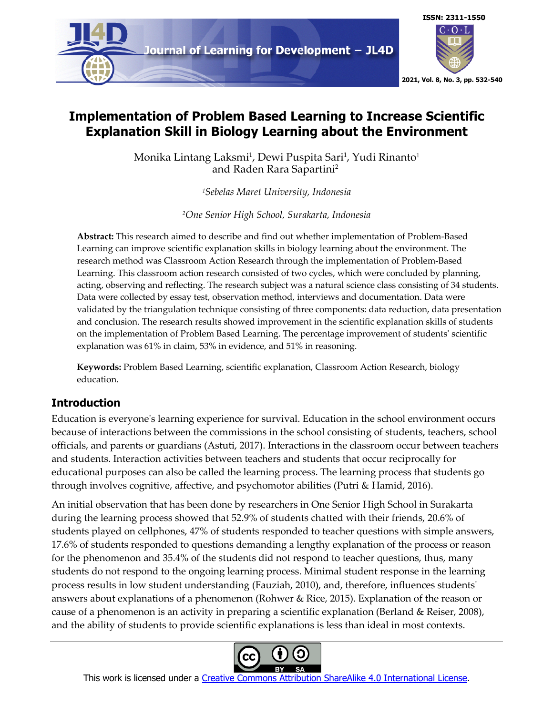

# **Implementation of Problem Based Learning to Increase Scientific Explanation Skill in Biology Learning about the Environment**

Monika Lintang Laksmi<sup>1</sup>, Dewi Puspita Sari<sup>1</sup>, Yudi Rinanto<sup>1</sup> and Raden Rara Sapartini2

*1Sebelas Maret University, Indonesia*

*2One Senior High School, Surakarta, Indonesia*

**Abstract:** This research aimed to describe and find out whether implementation of Problem-Based Learning can improve scientific explanation skills in biology learning about the environment. The research method was Classroom Action Research through the implementation of Problem-Based Learning. This classroom action research consisted of two cycles, which were concluded by planning, acting, observing and reflecting. The research subject was a natural science class consisting of 34 students. Data were collected by essay test, observation method, interviews and documentation. Data were validated by the triangulation technique consisting of three components: data reduction, data presentation and conclusion. The research results showed improvement in the scientific explanation skills of students on the implementation of Problem Based Learning. The percentage improvement of students' scientific explanation was 61% in claim, 53% in evidence, and 51% in reasoning.

**Keywords:** Problem Based Learning, scientific explanation, Classroom Action Research, biology education.

## **Introduction**

Education is everyone's learning experience for survival. Education in the school environment occurs because of interactions between the commissions in the school consisting of students, teachers, school officials, and parents or guardians (Astuti, 2017). Interactions in the classroom occur between teachers and students. Interaction activities between teachers and students that occur reciprocally for educational purposes can also be called the learning process. The learning process that students go through involves cognitive, affective, and psychomotor abilities (Putri & Hamid, 2016).

An initial observation that has been done by researchers in One Senior High School in Surakarta during the learning process showed that 52.9% of students chatted with their friends, 20.6% of students played on cellphones, 47% of students responded to teacher questions with simple answers, 17.6% of students responded to questions demanding a lengthy explanation of the process or reason for the phenomenon and 35.4% of the students did not respond to teacher questions, thus, many students do not respond to the ongoing learning process. Minimal student response in the learning process results in low student understanding (Fauziah, 2010), and, therefore, influences students' answers about explanations of a phenomenon (Rohwer & Rice, 2015). Explanation of the reason or cause of a phenomenon is an activity in preparing a scientific explanation (Berland & Reiser, 2008), and the ability of students to provide scientific explanations is less than ideal in most contexts.

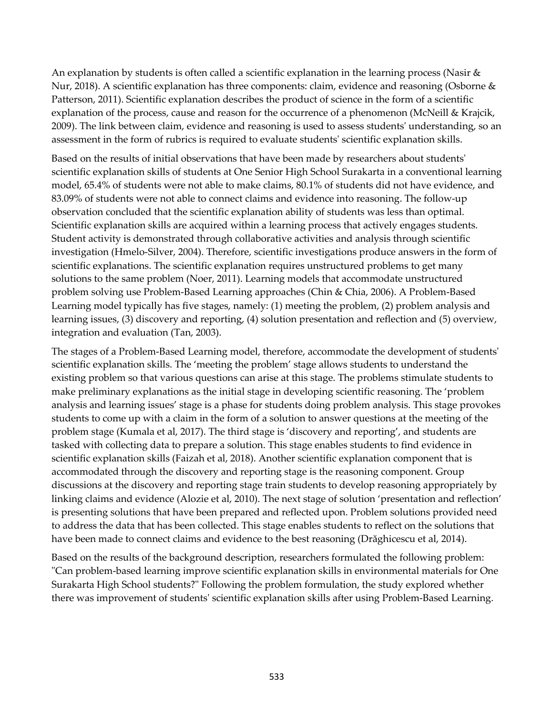An explanation by students is often called a scientific explanation in the learning process (Nasir  $\&$ Nur, 2018). A scientific explanation has three components: claim, evidence and reasoning (Osborne & Patterson, 2011). Scientific explanation describes the product of science in the form of a scientific explanation of the process, cause and reason for the occurrence of a phenomenon (McNeill & Krajcik, 2009). The link between claim, evidence and reasoning is used to assess students' understanding, so an assessment in the form of rubrics is required to evaluate students' scientific explanation skills.

Based on the results of initial observations that have been made by researchers about students' scientific explanation skills of students at One Senior High School Surakarta in a conventional learning model, 65.4% of students were not able to make claims, 80.1% of students did not have evidence, and 83.09% of students were not able to connect claims and evidence into reasoning. The follow-up observation concluded that the scientific explanation ability of students was less than optimal. Scientific explanation skills are acquired within a learning process that actively engages students. Student activity is demonstrated through collaborative activities and analysis through scientific investigation (Hmelo-Silver, 2004). Therefore, scientific investigations produce answers in the form of scientific explanations. The scientific explanation requires unstructured problems to get many solutions to the same problem (Noer, 2011). Learning models that accommodate unstructured problem solving use Problem-Based Learning approaches (Chin & Chia, 2006). A Problem-Based Learning model typically has five stages, namely: (1) meeting the problem, (2) problem analysis and learning issues, (3) discovery and reporting, (4) solution presentation and reflection and (5) overview, integration and evaluation (Tan, 2003).

The stages of a Problem-Based Learning model, therefore, accommodate the development of students' scientific explanation skills. The 'meeting the problem' stage allows students to understand the existing problem so that various questions can arise at this stage. The problems stimulate students to make preliminary explanations as the initial stage in developing scientific reasoning. The 'problem analysis and learning issues' stage is a phase for students doing problem analysis. This stage provokes students to come up with a claim in the form of a solution to answer questions at the meeting of the problem stage (Kumala et al, 2017). The third stage is 'discovery and reporting', and students are tasked with collecting data to prepare a solution. This stage enables students to find evidence in scientific explanation skills (Faizah et al, 2018). Another scientific explanation component that is accommodated through the discovery and reporting stage is the reasoning component. Group discussions at the discovery and reporting stage train students to develop reasoning appropriately by linking claims and evidence (Alozie et al, 2010). The next stage of solution 'presentation and reflection' is presenting solutions that have been prepared and reflected upon. Problem solutions provided need to address the data that has been collected. This stage enables students to reflect on the solutions that have been made to connect claims and evidence to the best reasoning (Drăghicescu et al, 2014).

Based on the results of the background description, researchers formulated the following problem: "Can problem-based learning improve scientific explanation skills in environmental materials for One Surakarta High School students?" Following the problem formulation, the study explored whether there was improvement of students' scientific explanation skills after using Problem-Based Learning.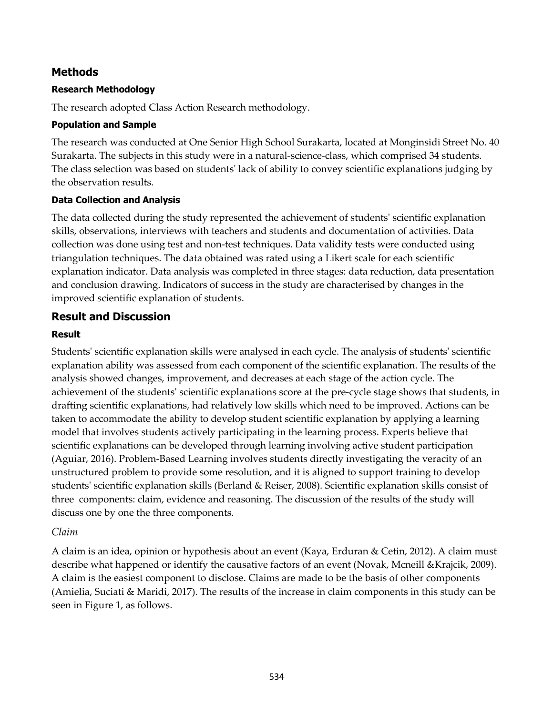### **Methods**

#### **Research Methodology**

The research adopted Class Action Research methodology.

#### **Population and Sample**

The research was conducted at One Senior High School Surakarta, located at Monginsidi Street No. 40 Surakarta. The subjects in this study were in a natural-science-class, which comprised 34 students. The class selection was based on students' lack of ability to convey scientific explanations judging by the observation results.

#### **Data Collection and Analysis**

The data collected during the study represented the achievement of students' scientific explanation skills, observations, interviews with teachers and students and documentation of activities. Data collection was done using test and non-test techniques. Data validity tests were conducted using triangulation techniques. The data obtained was rated using a Likert scale for each scientific explanation indicator. Data analysis was completed in three stages: data reduction, data presentation and conclusion drawing. Indicators of success in the study are characterised by changes in the improved scientific explanation of students.

### **Result and Discussion**

#### **Result**

Students' scientific explanation skills were analysed in each cycle. The analysis of students' scientific explanation ability was assessed from each component of the scientific explanation. The results of the analysis showed changes, improvement, and decreases at each stage of the action cycle. The achievement of the students' scientific explanations score at the pre-cycle stage shows that students, in drafting scientific explanations, had relatively low skills which need to be improved. Actions can be taken to accommodate the ability to develop student scientific explanation by applying a learning model that involves students actively participating in the learning process. Experts believe that scientific explanations can be developed through learning involving active student participation (Aguiar, 2016). Problem-Based Learning involves students directly investigating the veracity of an unstructured problem to provide some resolution, and it is aligned to support training to develop students' scientific explanation skills (Berland & Reiser, 2008). Scientific explanation skills consist of three components: claim, evidence and reasoning. The discussion of the results of the study will discuss one by one the three components.

#### *Claim*

A claim is an idea, opinion or hypothesis about an event (Kaya, Erduran & Cetin, 2012). A claim must describe what happened or identify the causative factors of an event (Novak, Mcneill &Krajcik, 2009). A claim is the easiest component to disclose. Claims are made to be the basis of other components (Amielia, Suciati & Maridi, 2017). The results of the increase in claim components in this study can be seen in Figure 1, as follows.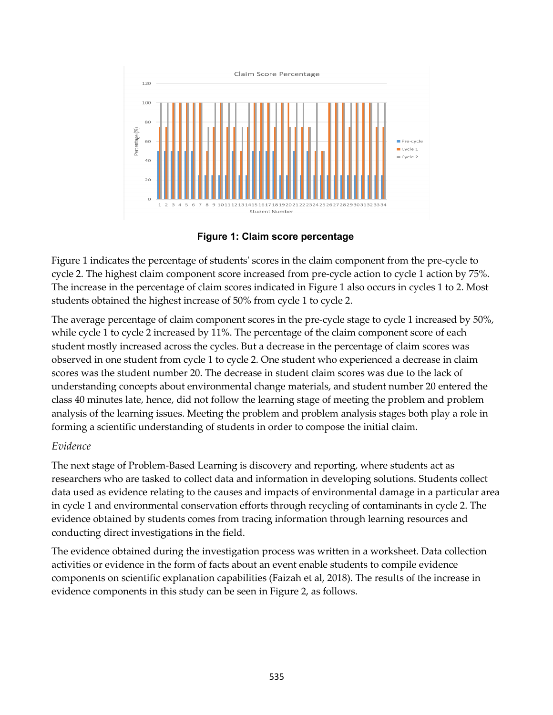

**Figure 1: Claim score percentage**

Figure 1 indicates the percentage of students' scores in the claim component from the pre-cycle to cycle 2. The highest claim component score increased from pre-cycle action to cycle 1 action by 75%. The increase in the percentage of claim scores indicated in Figure 1 also occurs in cycles 1 to 2. Most students obtained the highest increase of 50% from cycle 1 to cycle 2.

The average percentage of claim component scores in the pre-cycle stage to cycle 1 increased by 50%, while cycle 1 to cycle 2 increased by 11%. The percentage of the claim component score of each student mostly increased across the cycles. But a decrease in the percentage of claim scores was observed in one student from cycle 1 to cycle 2. One student who experienced a decrease in claim scores was the student number 20. The decrease in student claim scores was due to the lack of understanding concepts about environmental change materials, and student number 20 entered the class 40 minutes late, hence, did not follow the learning stage of meeting the problem and problem analysis of the learning issues. Meeting the problem and problem analysis stages both play a role in forming a scientific understanding of students in order to compose the initial claim.

### *Evidence*

The next stage of Problem-Based Learning is discovery and reporting, where students act as researchers who are tasked to collect data and information in developing solutions. Students collect data used as evidence relating to the causes and impacts of environmental damage in a particular area in cycle 1 and environmental conservation efforts through recycling of contaminants in cycle 2. The evidence obtained by students comes from tracing information through learning resources and conducting direct investigations in the field.

The evidence obtained during the investigation process was written in a worksheet. Data collection activities or evidence in the form of facts about an event enable students to compile evidence components on scientific explanation capabilities (Faizah et al, 2018). The results of the increase in evidence components in this study can be seen in Figure 2, as follows.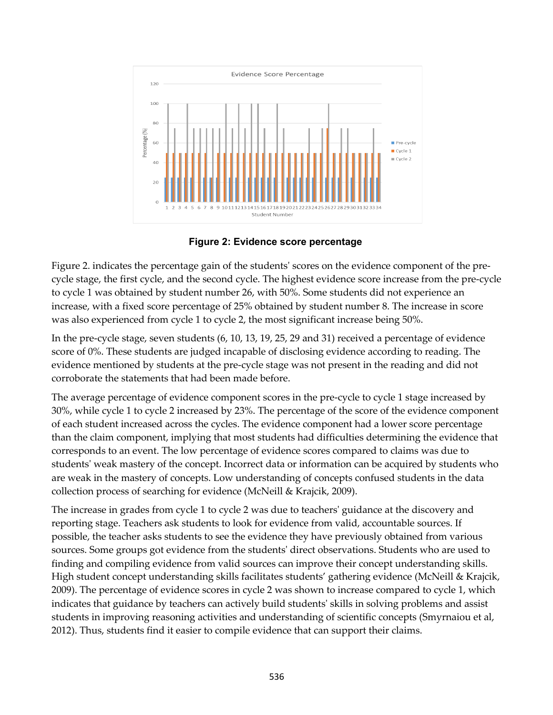

**Figure 2: Evidence score percentage**

Figure 2. indicates the percentage gain of the students' scores on the evidence component of the precycle stage, the first cycle, and the second cycle. The highest evidence score increase from the pre-cycle to cycle 1 was obtained by student number 26, with 50%. Some students did not experience an increase, with a fixed score percentage of 25% obtained by student number 8. The increase in score was also experienced from cycle 1 to cycle 2, the most significant increase being 50%.

In the pre-cycle stage, seven students (6, 10, 13, 19, 25, 29 and 31) received a percentage of evidence score of 0%. These students are judged incapable of disclosing evidence according to reading. The evidence mentioned by students at the pre-cycle stage was not present in the reading and did not corroborate the statements that had been made before.

The average percentage of evidence component scores in the pre-cycle to cycle 1 stage increased by 30%, while cycle 1 to cycle 2 increased by 23%. The percentage of the score of the evidence component of each student increased across the cycles. The evidence component had a lower score percentage than the claim component, implying that most students had difficulties determining the evidence that corresponds to an event. The low percentage of evidence scores compared to claims was due to students' weak mastery of the concept. Incorrect data or information can be acquired by students who are weak in the mastery of concepts. Low understanding of concepts confused students in the data collection process of searching for evidence (McNeill & Krajcik, 2009).

The increase in grades from cycle 1 to cycle 2 was due to teachers' guidance at the discovery and reporting stage. Teachers ask students to look for evidence from valid, accountable sources. If possible, the teacher asks students to see the evidence they have previously obtained from various sources. Some groups got evidence from the students' direct observations. Students who are used to finding and compiling evidence from valid sources can improve their concept understanding skills. High student concept understanding skills facilitates students' gathering evidence (McNeill & Krajcik, 2009). The percentage of evidence scores in cycle 2 was shown to increase compared to cycle 1, which indicates that guidance by teachers can actively build students' skills in solving problems and assist students in improving reasoning activities and understanding of scientific concepts (Smyrnaiou et al, 2012). Thus, students find it easier to compile evidence that can support their claims.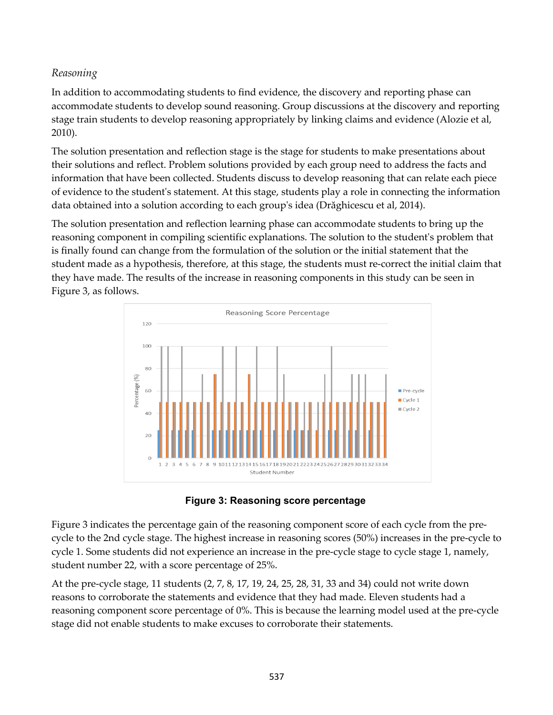### *Reasoning*

In addition to accommodating students to find evidence, the discovery and reporting phase can accommodate students to develop sound reasoning. Group discussions at the discovery and reporting stage train students to develop reasoning appropriately by linking claims and evidence (Alozie et al, 2010).

The solution presentation and reflection stage is the stage for students to make presentations about their solutions and reflect. Problem solutions provided by each group need to address the facts and information that have been collected. Students discuss to develop reasoning that can relate each piece of evidence to the student's statement. At this stage, students play a role in connecting the information data obtained into a solution according to each group's idea (Drăghicescu et al, 2014).

The solution presentation and reflection learning phase can accommodate students to bring up the reasoning component in compiling scientific explanations. The solution to the student's problem that is finally found can change from the formulation of the solution or the initial statement that the student made as a hypothesis, therefore, at this stage, the students must re-correct the initial claim that they have made. The results of the increase in reasoning components in this study can be seen in Figure 3, as follows.





Figure 3 indicates the percentage gain of the reasoning component score of each cycle from the precycle to the 2nd cycle stage. The highest increase in reasoning scores (50%) increases in the pre-cycle to cycle 1. Some students did not experience an increase in the pre-cycle stage to cycle stage 1, namely, student number 22, with a score percentage of 25%.

At the pre-cycle stage, 11 students (2, 7, 8, 17, 19, 24, 25, 28, 31, 33 and 34) could not write down reasons to corroborate the statements and evidence that they had made. Eleven students had a reasoning component score percentage of 0%. This is because the learning model used at the pre-cycle stage did not enable students to make excuses to corroborate their statements.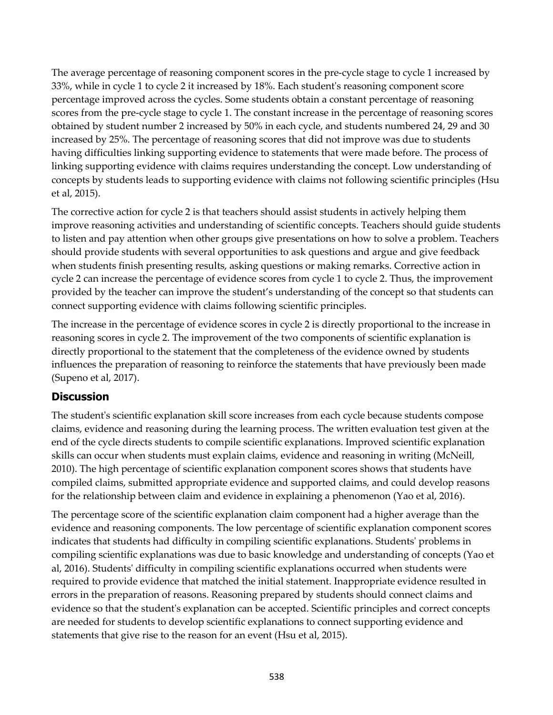The average percentage of reasoning component scores in the pre-cycle stage to cycle 1 increased by 33%, while in cycle 1 to cycle 2 it increased by 18%. Each student's reasoning component score percentage improved across the cycles. Some students obtain a constant percentage of reasoning scores from the pre-cycle stage to cycle 1. The constant increase in the percentage of reasoning scores obtained by student number 2 increased by 50% in each cycle, and students numbered 24, 29 and 30 increased by 25%. The percentage of reasoning scores that did not improve was due to students having difficulties linking supporting evidence to statements that were made before. The process of linking supporting evidence with claims requires understanding the concept. Low understanding of concepts by students leads to supporting evidence with claims not following scientific principles (Hsu et al, 2015).

The corrective action for cycle 2 is that teachers should assist students in actively helping them improve reasoning activities and understanding of scientific concepts. Teachers should guide students to listen and pay attention when other groups give presentations on how to solve a problem. Teachers should provide students with several opportunities to ask questions and argue and give feedback when students finish presenting results, asking questions or making remarks. Corrective action in cycle 2 can increase the percentage of evidence scores from cycle 1 to cycle 2. Thus, the improvement provided by the teacher can improve the student's understanding of the concept so that students can connect supporting evidence with claims following scientific principles.

The increase in the percentage of evidence scores in cycle 2 is directly proportional to the increase in reasoning scores in cycle 2. The improvement of the two components of scientific explanation is directly proportional to the statement that the completeness of the evidence owned by students influences the preparation of reasoning to reinforce the statements that have previously been made (Supeno et al, 2017).

## **Discussion**

The student's scientific explanation skill score increases from each cycle because students compose claims, evidence and reasoning during the learning process. The written evaluation test given at the end of the cycle directs students to compile scientific explanations. Improved scientific explanation skills can occur when students must explain claims, evidence and reasoning in writing (McNeill, 2010). The high percentage of scientific explanation component scores shows that students have compiled claims, submitted appropriate evidence and supported claims, and could develop reasons for the relationship between claim and evidence in explaining a phenomenon (Yao et al, 2016).

The percentage score of the scientific explanation claim component had a higher average than the evidence and reasoning components. The low percentage of scientific explanation component scores indicates that students had difficulty in compiling scientific explanations. Students' problems in compiling scientific explanations was due to basic knowledge and understanding of concepts (Yao et al, 2016). Students' difficulty in compiling scientific explanations occurred when students were required to provide evidence that matched the initial statement. Inappropriate evidence resulted in errors in the preparation of reasons. Reasoning prepared by students should connect claims and evidence so that the student's explanation can be accepted. Scientific principles and correct concepts are needed for students to develop scientific explanations to connect supporting evidence and statements that give rise to the reason for an event (Hsu et al, 2015).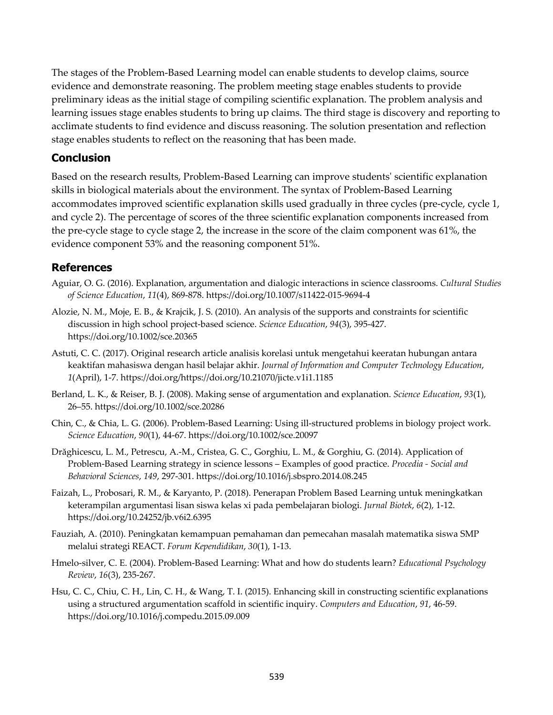The stages of the Problem-Based Learning model can enable students to develop claims, source evidence and demonstrate reasoning. The problem meeting stage enables students to provide preliminary ideas as the initial stage of compiling scientific explanation. The problem analysis and learning issues stage enables students to bring up claims. The third stage is discovery and reporting to acclimate students to find evidence and discuss reasoning. The solution presentation and reflection stage enables students to reflect on the reasoning that has been made.

### **Conclusion**

Based on the research results, Problem-Based Learning can improve students' scientific explanation skills in biological materials about the environment. The syntax of Problem-Based Learning accommodates improved scientific explanation skills used gradually in three cycles (pre-cycle, cycle 1, and cycle 2). The percentage of scores of the three scientific explanation components increased from the pre-cycle stage to cycle stage 2, the increase in the score of the claim component was 61%, the evidence component 53% and the reasoning component 51%.

### **References**

- Aguiar, O. G. (2016). Explanation, argumentation and dialogic interactions in science classrooms. *Cultural Studies of Science Education*, *11*(4), 869-878. https://doi.org/10.1007/s11422-015-9694-4
- Alozie, N. M., Moje, E. B., & Krajcik, J. S. (2010). An analysis of the supports and constraints for scientific discussion in high school project-based science. *Science Education*, *94*(3), 395-427. https://doi.org/10.1002/sce.20365
- Astuti, C. C. (2017). Original research article analisis korelasi untuk mengetahui keeratan hubungan antara keaktifan mahasiswa dengan hasil belajar akhir. *Journal of Information and Computer Technology Education*, *1*(April), 1-7. https://doi.org/https://doi.org/10.21070/jicte.v1i1.1185
- Berland, L. K., & Reiser, B. J. (2008). Making sense of argumentation and explanation. *Science Education*, *93*(1), 26–55. https://doi.org/10.1002/sce.20286
- Chin, C., & Chia, L. G. (2006). Problem-Based Learning: Using ill-structured problems in biology project work. *Science Education*, *90*(1), 44-67. https://doi.org/10.1002/sce.20097
- Drăghicescu, L. M., Petrescu, A.-M., Cristea, G. C., Gorghiu, L. M., & Gorghiu, G. (2014). Application of Problem-Based Learning strategy in science lessons – Examples of good practice. *Procedia - Social and Behavioral Sciences*, *149*, 297-301. https://doi.org/10.1016/j.sbspro.2014.08.245
- Faizah, L., Probosari, R. M., & Karyanto, P. (2018). Penerapan Problem Based Learning untuk meningkatkan keterampilan argumentasi lisan siswa kelas xi pada pembelajaran biologi. *Jurnal Biotek*, *6*(2), 1-12. https://doi.org/10.24252/jb.v6i2.6395
- Fauziah, A. (2010). Peningkatan kemampuan pemahaman dan pemecahan masalah matematika siswa SMP melalui strategi REACT. *Forum Kependidikan*, *30*(1), 1-13.
- Hmelo-silver, C. E. (2004). Problem-Based Learning: What and how do students learn? *Educational Psychology Review*, *16*(3), 235-267.
- Hsu, C. C., Chiu, C. H., Lin, C. H., & Wang, T. I. (2015). Enhancing skill in constructing scientific explanations using a structured argumentation scaffold in scientific inquiry. *Computers and Education*, *91*, 46-59. https://doi.org/10.1016/j.compedu.2015.09.009